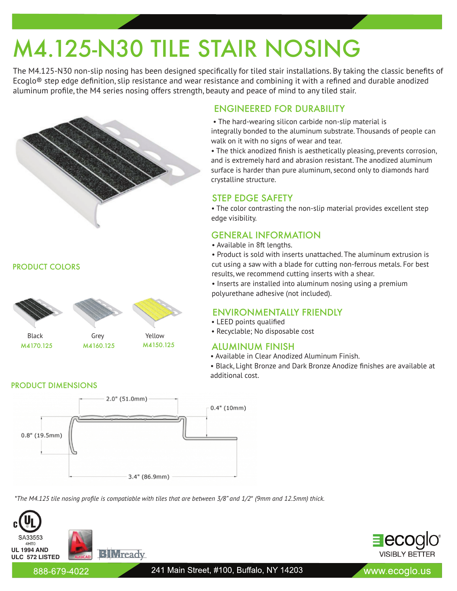# M4.125-N30 TILE STAIR NOSING

The M4.125-N30 non-slip nosing has been designed specifically for tiled stair installations. By taking the classic benefits of Ecoglo® step edge definition, slip resistance and wear resistance and combining it with a refined and durable anodized aluminum profile, the M4 series nosing offers strength, beauty and peace of mind to any tiled stair.



PRODUCT COLORS



M4170.125 M4160.125 M4150.125

## ENGINEERED FOR DURABILITY

• The hard-wearing silicon carbide non-slip material is

integrally bonded to the aluminum substrate. Thousands of people can walk on it with no signs of wear and tear.

• The thick anodized finish is aesthetically pleasing, prevents corrosion, and is extremely hard and abrasion resistant. The anodized aluminum surface is harder than pure aluminum, second only to diamonds hard crystalline structure.

## STEP EDGE SAFETY

• The color contrasting the non-slip material provides excellent step edge visibility.

## GENERAL INFORMATION

• Available in 8ft lengths.

• Product is sold with inserts unattached. The aluminum extrusion is cut using a saw with a blade for cutting non-ferrous metals. For best results, we recommend cutting inserts with a shear.

• Inserts are installed into aluminum nosing using a premium polyurethane adhesive (not included).

## ENVIRONMENTALLY FRIENDLY

- LEED points qualified
- Recyclable; No disposable cost

## ALUMINUM FINISH

• Available in Clear Anodized Aluminum Finish.

• Black, Light Bronze and Dark Bronze Anodize finishes are available at additional cost.

### PRODUCT DIMENSIONS



*\*The M4.125 tile nosing profile is compatiable with tiles that are between 3/8" and 1/2*" *(9mm and 12.5mm) thick.*





888-679-4022

www.ecoglo.us